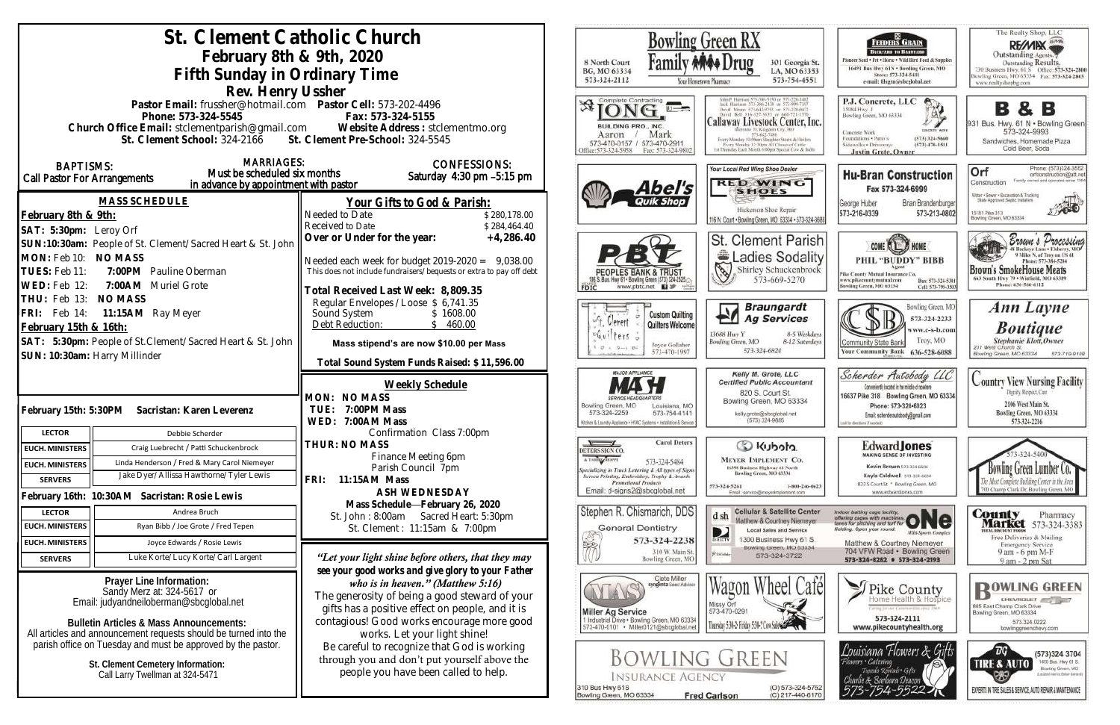|                                                                                                                                  | St. Clement Catholic Church                                                          |                                                                                                                           | Bowling Green RX                                                                        |                                       |                                                                                                                                                   |
|----------------------------------------------------------------------------------------------------------------------------------|--------------------------------------------------------------------------------------|---------------------------------------------------------------------------------------------------------------------------|-----------------------------------------------------------------------------------------|---------------------------------------|---------------------------------------------------------------------------------------------------------------------------------------------------|
|                                                                                                                                  | February 8th & 9th, 2020                                                             |                                                                                                                           |                                                                                         |                                       |                                                                                                                                                   |
|                                                                                                                                  | Fifth Sunday in Ordinary Time                                                        |                                                                                                                           | 8 North Court<br>BG, MO 63334                                                           |                                       | 301 Georgia St.<br>LA, MO 63353                                                                                                                   |
|                                                                                                                                  |                                                                                      |                                                                                                                           | 573-324-2112                                                                            | Your Hometown Pharmacy                | 573-754-4551                                                                                                                                      |
|                                                                                                                                  | Rev. Henry Ussher<br>Pastor Email: frussher@hotmail.com    Pastor Cell: 573-202-4496 |                                                                                                                           | Complete Contracting                                                                    |                                       |                                                                                                                                                   |
|                                                                                                                                  | Phone: 573-324-5545                                                                  | Fax: 573-324-5155                                                                                                         |                                                                                         |                                       |                                                                                                                                                   |
|                                                                                                                                  |                                                                                      | Church Office Email: stclementparish@gmail.com Website Address : stclementmo.org                                          | BUILDING PRO., INC.                                                                     |                                       | Callaway Livestock Center, Inc.                                                                                                                   |
|                                                                                                                                  | St. Clement School: 324-2166 St. Clement Pre-School: 324-5545                        |                                                                                                                           | Aaron<br>573-470-0157 / 573-470-2911<br>ffice:573-324-5958                              | Mark<br>Fax: 573-324-9802             | Every Monday 10:00am Stagpher Steers & Heiler<br>Every Monday 12:30nm All Classes of Cattle<br>ist Thursday Easty Month Arbbert Stevend Cow & Har |
| <b>BAPTISMS:</b>                                                                                                                 | <b>MARRIAGES:</b>                                                                    | <b>CONFESSIONS:</b>                                                                                                       |                                                                                         |                                       | Your Local Red Wing Shoe Dealer                                                                                                                   |
| Call Pastor For Arrangements                                                                                                     | Must be scheduled six months                                                         | Saturday 4:30 pm -5:15 pm                                                                                                 |                                                                                         |                                       | <b>RED WING</b>                                                                                                                                   |
|                                                                                                                                  | in advance by appointment with pastor                                                |                                                                                                                           |                                                                                         | 4bel's                                | <b>SHOES</b>                                                                                                                                      |
|                                                                                                                                  | <b>MASS SCHEDULE</b>                                                                 | Your Gifts to God & Parish:                                                                                               |                                                                                         |                                       | Hickerson Shoe Repair                                                                                                                             |
| February 8th & 9th:                                                                                                              |                                                                                      | Needed to Date<br>\$280,178.00<br>Received to Date<br>\$284,464.40                                                        |                                                                                         |                                       | 116 N. Court . Bowling Green, MO 63334 . 573-324-368                                                                                              |
| SAT: 5:30pm: Leroy Orf                                                                                                           |                                                                                      | Over or Under for the year:<br>$+4,286.40$                                                                                |                                                                                         |                                       | <b>St. Clement Parish</b>                                                                                                                         |
| MON: Feb 10: NO MASS                                                                                                             | SUN:10:30am: People of St. Clement/Sacred Heart & St. John                           |                                                                                                                           |                                                                                         |                                       | Ladies Sodality                                                                                                                                   |
| TUES: Feb 11:                                                                                                                    | 7:00PM Pauline Oberman                                                               | Needed each week for budget $2019-2020 = 9,038.00$<br>This does not include fundraisers/bequests or extra to pay off debt | PEOPLES BANK & TRUST                                                                    |                                       | E<br>Shirley Schuckenbrock                                                                                                                        |
| WED: Feb 12:<br>7:00AM Muriel Grote                                                                                              |                                                                                      |                                                                                                                           | 06 S. Bus. Hwy 61 . Bowling Green (573) 324-2525.<br>FDIC                               | www.pbtc.net <b>El</b>                | 573-669-5270                                                                                                                                      |
| THU: Feb 13:<br><b>NO MASS</b>                                                                                                   |                                                                                      | Fotal Received Last Week: 8,809.35<br>Regular Envelopes / Loose \$ 6,741.35                                               |                                                                                         |                                       |                                                                                                                                                   |
| 11:15AM Ray Meyer<br> FRI: Feb 14:                                                                                               |                                                                                      | Sound System<br>\$1608.00                                                                                                 |                                                                                         | <b>Custom Quilting</b>                | <b>Braungardt</b><br><b>Ag Services</b>                                                                                                           |
| February 15th & 16th:                                                                                                            |                                                                                      | 460.00<br>Debt Reduction:                                                                                                 | . Gerent                                                                                | Quilters Welcome                      |                                                                                                                                                   |
| SAT: 5:30pm: People of St.Clement/Sacred Heart & St. John                                                                        |                                                                                      | Mass stipend's are now \$10.00 per Mass                                                                                   | ter5                                                                                    | Joyce Gollaher                        | 13688 Huy Y<br>8-5 Weekdays<br>Bowling Green, MO<br>8-12 Saturdays                                                                                |
| SUN: 10:30am: Harry Millinder                                                                                                    |                                                                                      | Total Sound System Funds Raised: \$11,596.00                                                                              |                                                                                         | 573-470-1997                          | 573-324-6820                                                                                                                                      |
|                                                                                                                                  |                                                                                      |                                                                                                                           | MAJOR APPLIANCE                                                                         |                                       | Kelly M. Grote, LLC                                                                                                                               |
|                                                                                                                                  |                                                                                      | Weekly Schedule                                                                                                           |                                                                                         |                                       | <b>Certified Public Accountant</b><br>820 S. Court St.                                                                                            |
|                                                                                                                                  |                                                                                      | MON: NO MASS<br>7:00PM Mass                                                                                               | Bowling Green, MO                                                                       | Louisiana, MO                         | Bowling Green, MO 63334                                                                                                                           |
| February 15th: 5:30PM<br>Sacristan: Karen Leverenz                                                                               |                                                                                      | TUE:<br>WED: 7:00AM Mass                                                                                                  | 573-324-2259<br>Kitchen & Laundry Appliance . HVAC Systems . Installation & Service     | 573-754-4141                          | kelly.grote@sbcglobal.net<br>(573) 324-9885                                                                                                       |
| <b>LECTOR</b>                                                                                                                    | Debbie Scherder                                                                      | Confirmation Class 7:00pm                                                                                                 |                                                                                         | <b>Carol Deters</b>                   |                                                                                                                                                   |
| <b>EUCH. MINISTERS</b>                                                                                                           | Craig Luebrecht / Patti Schuckenbrock                                                | THUR: NO MASS<br>Finance Meeting 6pm                                                                                      | $\sqrt{ }$<br>DETERS SIGN CO                                                            |                                       | C Kubota                                                                                                                                          |
| <b>EUCH. MINISTERS</b>                                                                                                           | Linda Henderson / Fred & Mary Carol Niemeyer                                         | Parish Council 7pm                                                                                                        | A T-SHIRT SHOPPE<br>pecializing in Truck Lettering & All types of Signs                 | 573-324-5484                          | <b>MEYER IMPLEMENT CO.</b><br>16398 Business Highway 61 North<br>Bowling Green, MO 63334                                                          |
| <b>SERVERS</b>                                                                                                                   | Jake Dyer/Allissa Hawthorne/Tyler Lewis                                              | 11:15AM Mass<br>FRI:                                                                                                      | Screen Printing, Embroidery, Trophy & Awards<br><b>Promotional Products</b>             |                                       | 573-324-5261<br>1-800-246-0623                                                                                                                    |
|                                                                                                                                  | February 16th: 10:30AM Sacristan: Rosie Lewis                                        | ASH WEDNESDAY<br>Mass Schedule-February 26, 2020                                                                          | Email: d-signs2@sbcglobal.net                                                           |                                       | Email: service@meyerimplement.com                                                                                                                 |
| <b>LECTOR</b>                                                                                                                    | Andrea Bruch                                                                         | St. John: 8:00am Sacred Heart: 5:30pm                                                                                     | Stephen R. Chismarich, DDS                                                              |                                       | <b>Cellular &amp; Satellite Center</b><br>d sh<br>Matthew & Courtney Niemeyer                                                                     |
| <b>EUCH. MINISTERS</b>                                                                                                           | Ryan Bibb / Joe Grote / Fred Tepen                                                   | St. Clement: 11:15am & 7:00pm                                                                                             | <b>General Dentistry</b>                                                                |                                       | <b>Local Sales and Service</b><br>D                                                                                                               |
| <b>EUCH. MINISTERS</b>                                                                                                           | Joyce Edwards / Rosie Lewis                                                          |                                                                                                                           |                                                                                         | 573-324-2238<br>310 W. Main St.       | 1300 Business Hwy 61 S.<br>DIRECTV<br>Bowling Green, MO 63334<br><b>PUILON</b>                                                                    |
| <b>SERVERS</b>                                                                                                                   | Luke Korte/Lucy Korte/Carl Largent                                                   | "Let your light shine before others, that they may                                                                        |                                                                                         | Bowling Green, MO                     | 573-324-3722                                                                                                                                      |
|                                                                                                                                  | Prayer Line Information:                                                             | see your good works and give glory to your Father<br>who is in heaven." (Matthew $5:16$ )                                 |                                                                                         | Clete Miller<br>syngenta Soud Advisor |                                                                                                                                                   |
| Sandy Merz at: 324-5617 or                                                                                                       |                                                                                      | The generosity of being a good steward of your                                                                            |                                                                                         |                                       | heel Café<br>Wagon W                                                                                                                              |
| Email: judyandheiloberman@sbcglobal.net                                                                                          |                                                                                      | gifts has a positive effect on people, and it is                                                                          | <b>Miller Ag Service</b>                                                                |                                       | Missy Orl<br>573-470-0291                                                                                                                         |
| <b>Bulletin Articles &amp; Mass Announcements:</b>                                                                               |                                                                                      | contagious! Good works encourage more good                                                                                | 1 Industrial Drive . Bowling Green, MO 63334<br>573-470-0101 · Miller0121@sbcglobal.net |                                       | Thursday 5:30-2 Friday 5:30-2 Cow SubSection                                                                                                      |
| All articles and announcement requests should be turned into the<br>parish office on Tuesday and must be approved by the pastor. |                                                                                      | works. Let your light shine!                                                                                              |                                                                                         |                                       |                                                                                                                                                   |
|                                                                                                                                  |                                                                                      | Be careful to recognize that God is working<br>through you and don't put yourself above the                               |                                                                                         | Bowling Green                         |                                                                                                                                                   |
| St. Clement Cemetery Information:<br>Call Larry Twellman at 324-5471                                                             |                                                                                      | people you have been called to help.                                                                                      |                                                                                         |                                       |                                                                                                                                                   |
|                                                                                                                                  |                                                                                      |                                                                                                                           | 310 Bus Hwy 61S                                                                         | <b>INSURANCE AGENCY</b>               | (O) 573-324-5762                                                                                                                                  |
|                                                                                                                                  |                                                                                      |                                                                                                                           | Bowling Green, MO 63334                                                                 | <b>Fred Carlson</b>                   | (C) 217-440-6170                                                                                                                                  |



**Fred Carlson**